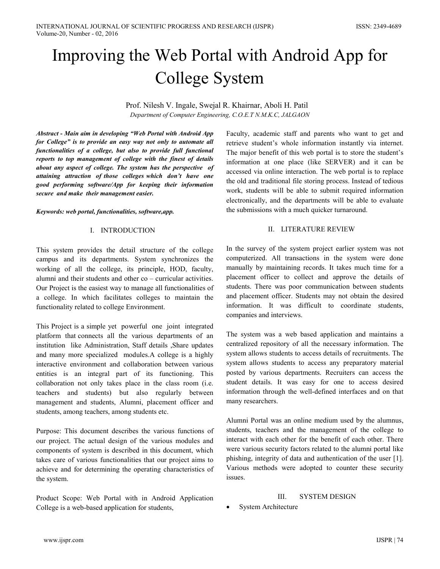# Improving the Web Portal with Android App for **College System**

Prof. Nilesh V. Ingale, Swejal R. Khairnar, Aboli H. Patil Department of Computer Engineering, C.O.E.T N.M.K.C, JALGAON

Abstract - Main aim in developing "Web Portal with Android App for College" is to provide an easy way not only to automate all functionalities of a college, but also to provide full functional reports to top management of college with the finest of details about any aspect of college. The system has the perspective of attaining attraction of those colleges which don't have one good performing software/App for keeping their information secure and make their management easier.

Keywords: web portal, functionalities, software, app.

## I. INTRODUCTION

This system provides the detail structure of the college campus and its departments. System synchronizes the working of all the college, its principle, HOD, faculty, alumni and their students and other  $\cos$  – curricular activities. Our Project is the easiest way to manage all functionalities of a college. In which facilitates colleges to maintain the functionality related to college Environment.

This Project is a simple yet powerful one joint integrated platform that connects all the various departments of an institution like Administration, Staff details , Share updates and many more specialized modules. A college is a highly interactive environment and collaboration between various entities is an integral part of its functioning. This collaboration not only takes place in the class room (i.e. teachers and students) but also regularly between management and students, Alumni, placement officer and students, among teachers, among students etc.

Purpose: This document describes the various functions of our project. The actual design of the various modules and components of system is described in this document, which takes care of various functionalities that our project aims to achieve and for determining the operating characteristics of the system.

Product Scope: Web Portal with in Android Application College is a web-based application for students,

Faculty, academic staff and parents who want to get and retrieve student's whole information instantly via internet. The major benefit of this web portal is to store the student's information at one place (like SERVER) and it can be accessed via online interaction. The web portal is to replace the old and traditional file storing process. Instead of tedious work, students will be able to submit required information electronically, and the departments will be able to evaluate the submissions with a much quicker turnaround.

## II. LITERATURE REVIEW

In the survey of the system project earlier system was not computerized. All transactions in the system were done manually by maintaining records. It takes much time for a placement officer to collect and approve the details of students. There was poor communication between students and placement officer. Students may not obtain the desired information. It was difficult to coordinate students, companies and interviews.

The system was a web based application and maintains a centralized repository of all the necessary information. The system allows students to access details of recruitments. The system allows students to access any preparatory material posted by various departments. Recruiters can access the student details. It was easy for one to access desired information through the well-defined interfaces and on that many researchers.

Alumni Portal was an online medium used by the alumnus, students, teachers and the management of the college to interact with each other for the benefit of each other. There were various security factors related to the alumni portal like phishing, integrity of data and authentication of the user [1]. Various methods were adopted to counter these security issues.

#### **III SYSTEM DESIGN**

**System Architecture**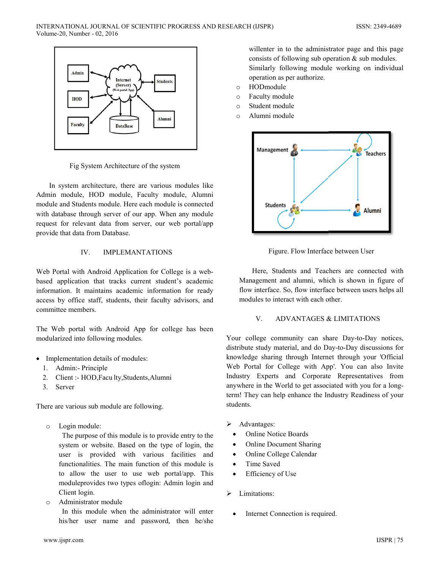

Fig System Architecture of the system

In system architecture, there are various modules like Admin module, HOD module, Faculty module, Alumni module and Students module. Here each module is connected with database through server of our app. When any module request for relevant data from server, our web portal/app provide that data from Database.

#### $IV.$ **IMPLEMANTATIONS**

Web Portal with Android Application for College is a webbased application that tracks current student's academic information. It maintains academic information for ready access by office staff, students, their faculty advisors, and committee members.

The Web portal with Android App for college has been modularized into following modules.

- Implementation details of modules:
	- 1. Admin:- Principle
	- 2. Client :- HOD, Facu lty, Students, Alumni
	- 3. Server

There are various sub module are following.

Login module:  $\circ$ 

> The purpose of this module is to provide entry to the system or website. Based on the type of login, the user is provided with various facilities and functionalities. The main function of this module is to allow the user to use web portal/app. This module provides two types of login: Admin login and Client login.

Administrator module  $\circ$ 

> In this module when the administrator will enter his/her user name and password, then he/she

willenter in to the administrator page and this page consists of following sub operation  $\&$  sub modules. Similarly following module working on individual operation as per authorize.

- HODmodule  $\circ$
- Faculty module  $\circ$
- Student module  $\circ$
- Alumni module  $\circ$



Figure. Flow Interface between User

Here, Students and Teachers are connected with Management and alumni, which is shown in figure of flow interface. So, flow interface between users helps all modules to interact with each other.

#### $V$ **ADVANTAGES & LIMITATIONS**

Your college community can share Day-to-Day notices, distribute study material, and do Day-to-Day discussions for knowledge sharing through Internet through your 'Official Web Portal for College with App'. You can also Invite Industry Experts and Corporate Representatives from anywhere in the World to get associated with you for a longterm! They can help enhance the Industry Readiness of your students.

- Advantages:  $\triangleright$ 
	- **Online Notice Boards**
	- **Online Document Sharing**  $\bullet$
	- Online College Calendar
	- Time Saved  $\bullet$
	- Efficiency of Use
- Limitations:  $\blacktriangleright$ 
	- Internet Connection is required.